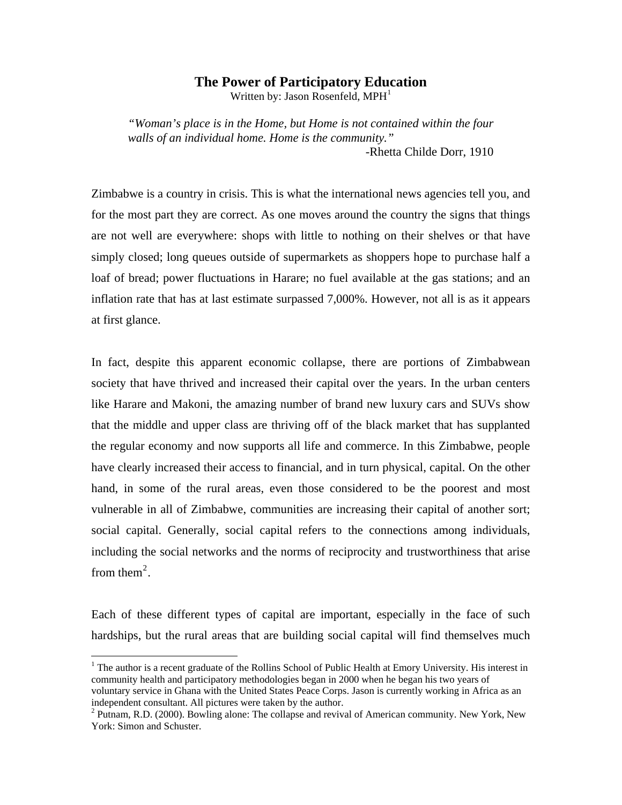## **The Power of Participatory Education**

Written by: Jason Rosenfeld,  $MPH<sup>1</sup>$  $MPH<sup>1</sup>$  $MPH<sup>1</sup>$ 

*"Woman's place is in the Home, but Home is not contained within the four walls of an individual home. Home is the community."*  -Rhetta Childe Dorr, 1910

Zimbabwe is a country in crisis. This is what the international news agencies tell you, and for the most part they are correct. As one moves around the country the signs that things are not well are everywhere: shops with little to nothing on their shelves or that have simply closed; long queues outside of supermarkets as shoppers hope to purchase half a loaf of bread; power fluctuations in Harare; no fuel available at the gas stations; and an inflation rate that has at last estimate surpassed 7,000%. However, not all is as it appears at first glance.

In fact, despite this apparent economic collapse, there are portions of Zimbabwean society that have thrived and increased their capital over the years. In the urban centers like Harare and Makoni, the amazing number of brand new luxury cars and SUVs show that the middle and upper class are thriving off of the black market that has supplanted the regular economy and now supports all life and commerce. In this Zimbabwe, people have clearly increased their access to financial, and in turn physical, capital. On the other hand, in some of the rural areas, even those considered to be the poorest and most vulnerable in all of Zimbabwe, communities are increasing their capital of another sort; social capital. Generally, social capital refers to the connections among individuals, including the social networks and the norms of reciprocity and trustworthiness that arise from them<sup>[2](#page-0-1)</sup>.

Each of these different types of capital are important, especially in the face of such hardships, but the rural areas that are building social capital will find themselves much

 $\overline{a}$ 

<span id="page-0-0"></span><sup>&</sup>lt;sup>1</sup> The author is a recent graduate of the Rollins School of Public Health at Emory University. His interest in community health and participatory methodologies began in 2000 when he began his two years of voluntary service in Ghana with the United States Peace Corps. Jason is currently working in Africa as an independent consultant. All pictures were taken by the author.

<span id="page-0-1"></span> $2$  Putnam, R.D. (2000). Bowling alone: The collapse and revival of American community. New York, New York: Simon and Schuster.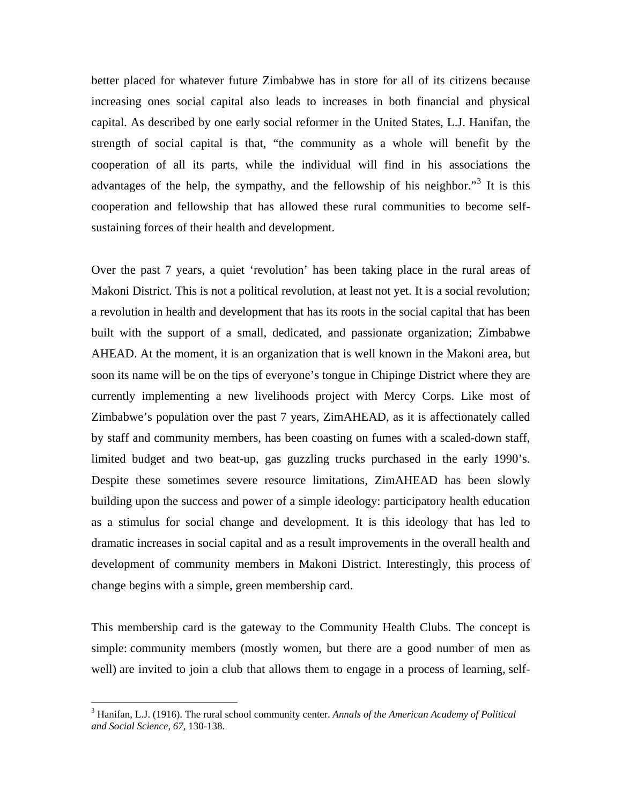better placed for whatever future Zimbabwe has in store for all of its citizens because increasing ones social capital also leads to increases in both financial and physical capital. As described by one early social reformer in the United States, L.J. Hanifan, the strength of social capital is that, "the community as a whole will benefit by the cooperation of all its parts, while the individual will find in his associations the advantages of the help, the sympathy, and the fellowship of his neighbor."<sup>[3](#page-1-0)</sup> It is this cooperation and fellowship that has allowed these rural communities to become selfsustaining forces of their health and development.

Over the past 7 years, a quiet 'revolution' has been taking place in the rural areas of Makoni District. This is not a political revolution, at least not yet. It is a social revolution; a revolution in health and development that has its roots in the social capital that has been built with the support of a small, dedicated, and passionate organization; Zimbabwe AHEAD. At the moment, it is an organization that is well known in the Makoni area, but soon its name will be on the tips of everyone's tongue in Chipinge District where they are currently implementing a new livelihoods project with Mercy Corps. Like most of Zimbabwe's population over the past 7 years, ZimAHEAD, as it is affectionately called by staff and community members, has been coasting on fumes with a scaled-down staff, limited budget and two beat-up, gas guzzling trucks purchased in the early 1990's. Despite these sometimes severe resource limitations, ZimAHEAD has been slowly building upon the success and power of a simple ideology: participatory health education as a stimulus for social change and development. It is this ideology that has led to dramatic increases in social capital and as a result improvements in the overall health and development of community members in Makoni District. Interestingly, this process of change begins with a simple, green membership card.

This membership card is the gateway to the Community Health Clubs. The concept is simple: community members (mostly women, but there are a good number of men as well) are invited to join a club that allows them to engage in a process of learning, self-

 $\overline{a}$ 

<span id="page-1-0"></span><sup>3</sup> Hanifan, L.J. (1916). The rural school community center. *Annals of the American Academy of Political and Social Science, 67*, 130-138.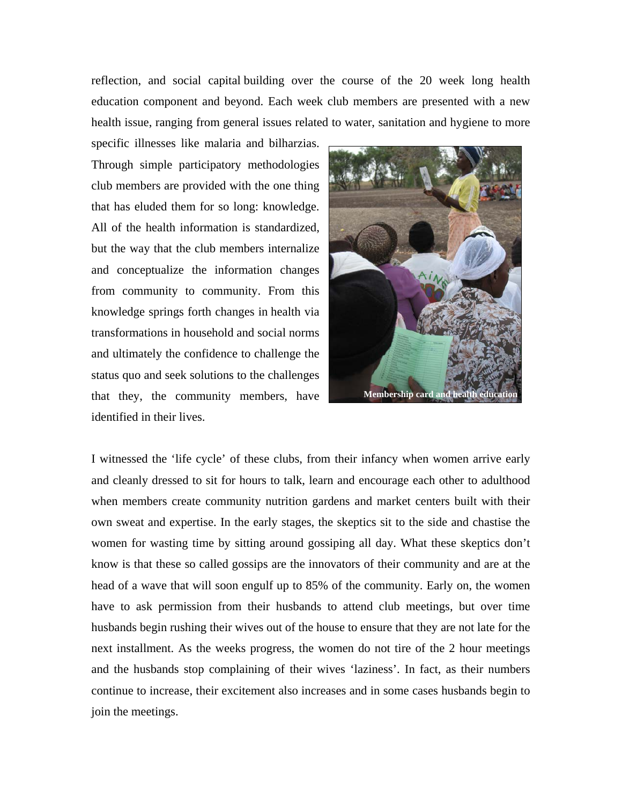reflection, and social capital building over the course of the 20 week long health education component and beyond. Each week club members are presented with a new health issue, ranging from general issues related to water, sanitation and hygiene to more

specific illnesses like malaria and bilharzias. Through simple participatory methodologies club members are provided with the one thing that has eluded them for so long: knowledge. All of the health information is standardized, but the way that the club members internalize and conceptualize the information changes from community to community. From this knowledge springs forth changes in health via transformations in household and social norms and ultimately the confidence to challenge the status quo and seek solutions to the challenges that they, the community members, have identified in their lives.



I witnessed the 'life cycle' of these clubs, from their infancy when women arrive early and cleanly dressed to sit for hours to talk, learn and encourage each other to adulthood when members create community nutrition gardens and market centers built with their own sweat and expertise. In the early stages, the skeptics sit to the side and chastise the women for wasting time by sitting around gossiping all day. What these skeptics don't know is that these so called gossips are the innovators of their community and are at the head of a wave that will soon engulf up to 85% of the community. Early on, the women have to ask permission from their husbands to attend club meetings, but over time husbands begin rushing their wives out of the house to ensure that they are not late for the next installment. As the weeks progress, the women do not tire of the 2 hour meetings and the husbands stop complaining of their wives 'laziness'. In fact, as their numbers continue to increase, their excitement also increases and in some cases husbands begin to join the meetings.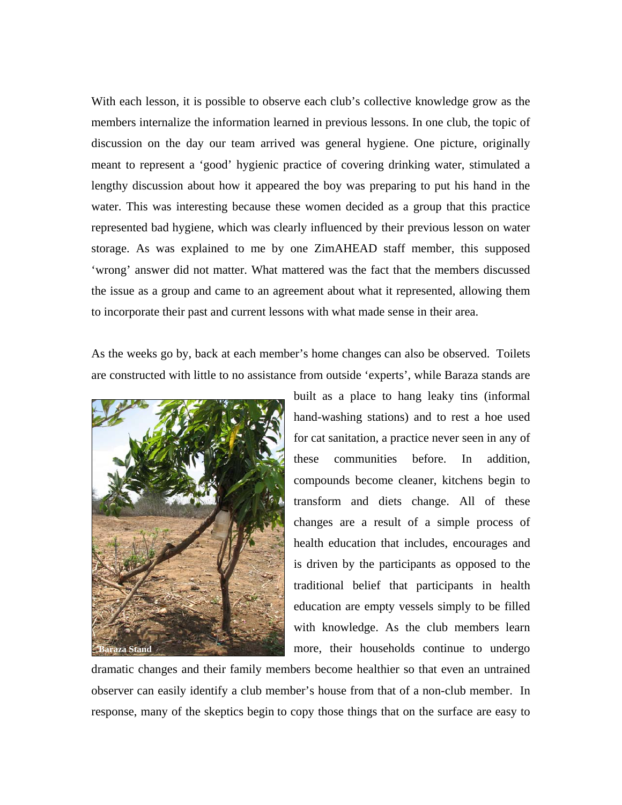With each lesson, it is possible to observe each club's collective knowledge grow as the members internalize the information learned in previous lessons. In one club, the topic of discussion on the day our team arrived was general hygiene. One picture, originally meant to represent a 'good' hygienic practice of covering drinking water, stimulated a lengthy discussion about how it appeared the boy was preparing to put his hand in the water. This was interesting because these women decided as a group that this practice represented bad hygiene, which was clearly influenced by their previous lesson on water storage. As was explained to me by one ZimAHEAD staff member, this supposed 'wrong' answer did not matter. What mattered was the fact that the members discussed the issue as a group and came to an agreement about what it represented, allowing them to incorporate their past and current lessons with what made sense in their area.

As the weeks go by, back at each member's home changes can also be observed. Toilets are constructed with little to no assistance from outside 'experts', while Baraza stands are



built as a place to hang leaky tins (informal hand-washing stations) and to rest a hoe used for cat sanitation, a practice never seen in any of these communities before. In addition, compounds become cleaner, kitchens begin to transform and diets change. All of these changes are a result of a simple process of health education that includes, encourages and is driven by the participants as opposed to the traditional belief that participants in health education are empty vessels simply to be filled with knowledge. As the club members learn more, their households continue to undergo

dramatic changes and their family members become healthier so that even an untrained observer can easily identify a club member's house from that of a non-club member. In response, many of the skeptics begin to copy those things that on the surface are easy to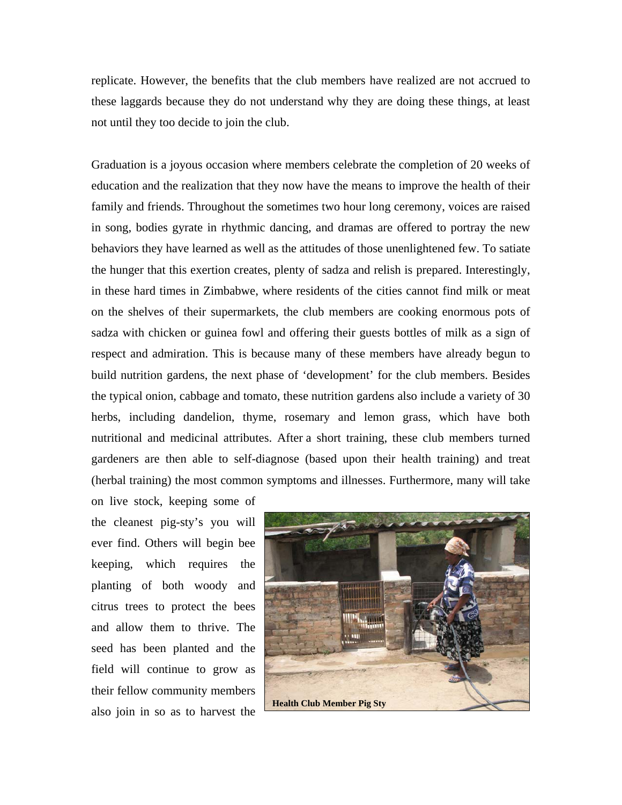replicate. However, the benefits that the club members have realized are not accrued to these laggards because they do not understand why they are doing these things, at least not until they too decide to join the club.

Graduation is a joyous occasion where members celebrate the completion of 20 weeks of education and the realization that they now have the means to improve the health of their family and friends. Throughout the sometimes two hour long ceremony, voices are raised in song, bodies gyrate in rhythmic dancing, and dramas are offered to portray the new behaviors they have learned as well as the attitudes of those unenlightened few. To satiate the hunger that this exertion creates, plenty of sadza and relish is prepared. Interestingly, in these hard times in Zimbabwe, where residents of the cities cannot find milk or meat on the shelves of their supermarkets, the club members are cooking enormous pots of sadza with chicken or guinea fowl and offering their guests bottles of milk as a sign of respect and admiration. This is because many of these members have already begun to build nutrition gardens, the next phase of 'development' for the club members. Besides the typical onion, cabbage and tomato, these nutrition gardens also include a variety of 30 herbs, including dandelion, thyme, rosemary and lemon grass, which have both nutritional and medicinal attributes. After a short training, these club members turned gardeners are then able to self-diagnose (based upon their health training) and treat (herbal training) the most common symptoms and illnesses. Furthermore, many will take

on live stock, keeping some of the cleanest pig-sty's you will ever find. Others will begin bee keeping, which requires the planting of both woody and citrus trees to protect the bees and allow them to thrive. The seed has been planted and the field will continue to grow as their fellow community members also join in so as to harvest the

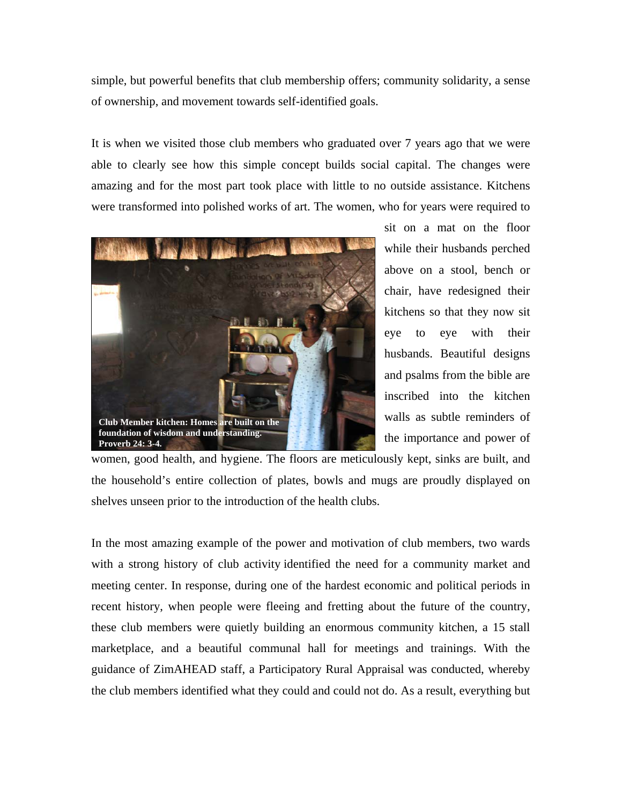simple, but powerful benefits that club membership offers; community solidarity, a sense of ownership, and movement towards self-identified goals.

It is when we visited those club members who graduated over 7 years ago that we were able to clearly see how this simple concept builds social capital. The changes were amazing and for the most part took place with little to no outside assistance. Kitchens were transformed into polished works of art. The women, who for years were required to



sit on a mat on the floor while their husbands perched above on a stool, bench or chair, have redesigned their kitchens so that they now sit eye to eye with their husbands. Beautiful designs and psalms from the bible are inscribed into the kitchen walls as subtle reminders of the importance and power of

women, good health, and hygiene. The floors are meticulously kept, sinks are built, and the household's entire collection of plates, bowls and mugs are proudly displayed on shelves unseen prior to the introduction of the health clubs.

In the most amazing example of the power and motivation of club members, two wards with a strong history of club activity identified the need for a community market and meeting center. In response, during one of the hardest economic and political periods in recent history, when people were fleeing and fretting about the future of the country, these club members were quietly building an enormous community kitchen, a 15 stall marketplace, and a beautiful communal hall for meetings and trainings. With the guidance of ZimAHEAD staff, a Participatory Rural Appraisal was conducted, whereby the club members identified what they could and could not do. As a result, everything but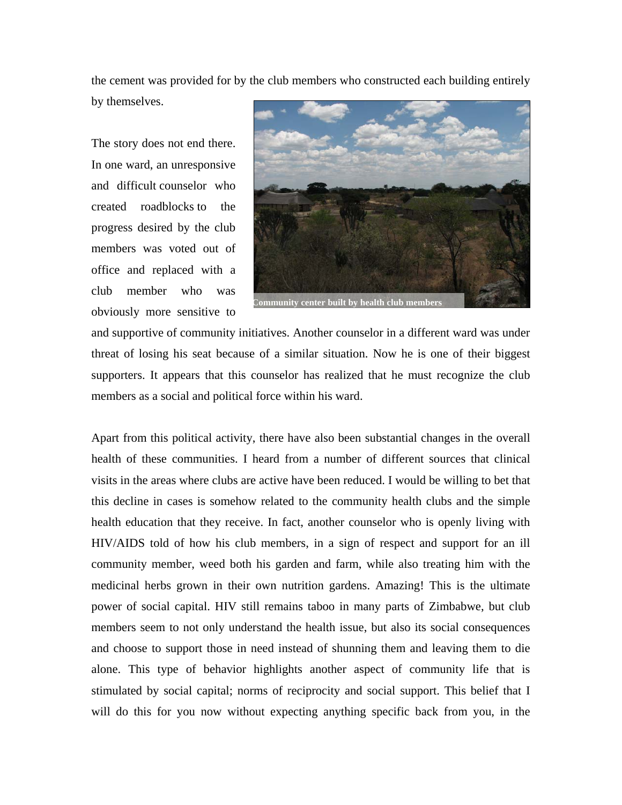the cement was provided for by the club members who constructed each building entirely

by themselves.

The story does not end there. In one ward, an unresponsive and difficult counselor who created roadblocks to the progress desired by the club members was voted out of office and replaced with a club member who was obviously more sensitive to



and supportive of community initiatives. Another counselor in a different ward was under threat of losing his seat because of a similar situation. Now he is one of their biggest supporters. It appears that this counselor has realized that he must recognize the club members as a social and political force within his ward.

Apart from this political activity, there have also been substantial changes in the overall health of these communities. I heard from a number of different sources that clinical visits in the areas where clubs are active have been reduced. I would be willing to bet that this decline in cases is somehow related to the community health clubs and the simple health education that they receive. In fact, another counselor who is openly living with HIV/AIDS told of how his club members, in a sign of respect and support for an ill community member, weed both his garden and farm, while also treating him with the medicinal herbs grown in their own nutrition gardens. Amazing! This is the ultimate power of social capital. HIV still remains taboo in many parts of Zimbabwe, but club members seem to not only understand the health issue, but also its social consequences and choose to support those in need instead of shunning them and leaving them to die alone. This type of behavior highlights another aspect of community life that is stimulated by social capital; norms of reciprocity and social support. This belief that I will do this for you now without expecting anything specific back from you, in the